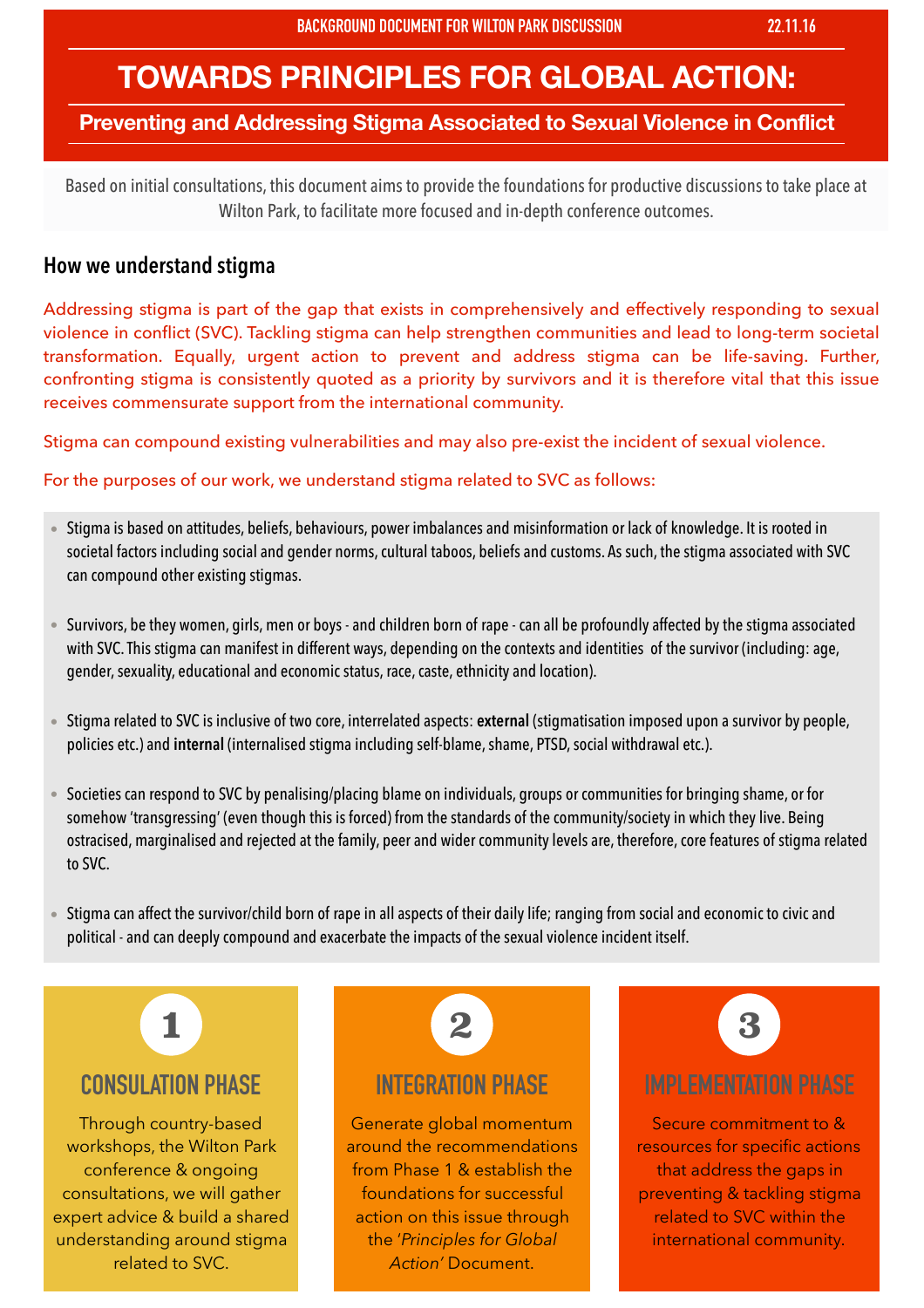# **TOWARDS PRINCIPLES FOR GLOBAL ACTION:**

#### **Preventing and Addressing Stigma Associated to Sexual Violence in Conflict**

Based on initial consultations, this document aims to provide the foundations for productive discussions to take place at Wilton Park, to facilitate more focused and in-depth conference outcomes.

#### **How we understand stigma**

Addressing stigma is part of the gap that exists in comprehensively and effectively responding to sexual violence in conflict (SVC). Tackling stigma can help strengthen communities and lead to long-term societal transformation. Equally, urgent action to prevent and address stigma can be life-saving. Further, confronting stigma is consistently quoted as a priority by survivors and it is therefore vital that this issue receives commensurate support from the international community.

Stigma can compound existing vulnerabilities and may also pre-exist the incident of sexual violence.

For the purposes of our work, we understand stigma related to SVC as follows:

- Stigma is based on attitudes, beliefs, behaviours, power imbalances and misinformation or lack of knowledge. It is rooted in societal factors including social and gender norms, cultural taboos, beliefs and customs. As such, the stigma associated with SVC can compound other existing stigmas.
- Survivors, be they women, girls, men or boys and children born of rape can all be profoundly affected by the stigma associated with SVC. This stigma can manifest in different ways, depending on the contexts and identities of the survivor (including: age, gender, sexuality, educational and economic status, race, caste, ethnicity and location).
- Stigma related to SVC is inclusive of two core, interrelated aspects: **external** (stigmatisation imposed upon a survivor by people, policies etc.) and **internal** (internalised stigma including self-blame, shame, PTSD, social withdrawal etc.).
- Societies can respond to SVC by penalising/placing blame on individuals, groups or communities for bringing shame, or for somehow 'transgressing' (even though this is forced) from the standards of the community/society in which they live. Being ostracised, marginalised and rejected at the family, peer and wider community levels are, therefore, core features of stigma related to SVC.
- Stigma can affect the survivor/child born of rape in all aspects of their daily life; ranging from social and economic to civic and political - and can deeply compound and exacerbate the impacts of the sexual violence incident itself.



## **CONSULATION PHASE**

Through country-based workshops, the Wilton Park conference & ongoing consultations, we will gather expert advice & build a shared understanding around stigma related to SVC.



### **INTEGRATION PHASE**

Generate global momentum around the recommendations from Phase 1 & establish the foundations for successful action on this issue through the '*Principles for Global*  Action' Document.



## **IMPLEMENTATION PHASE**

Secure commitment to & resources for specific actions that address the gaps in preventing & tackling stigma related to SVC within the international community.